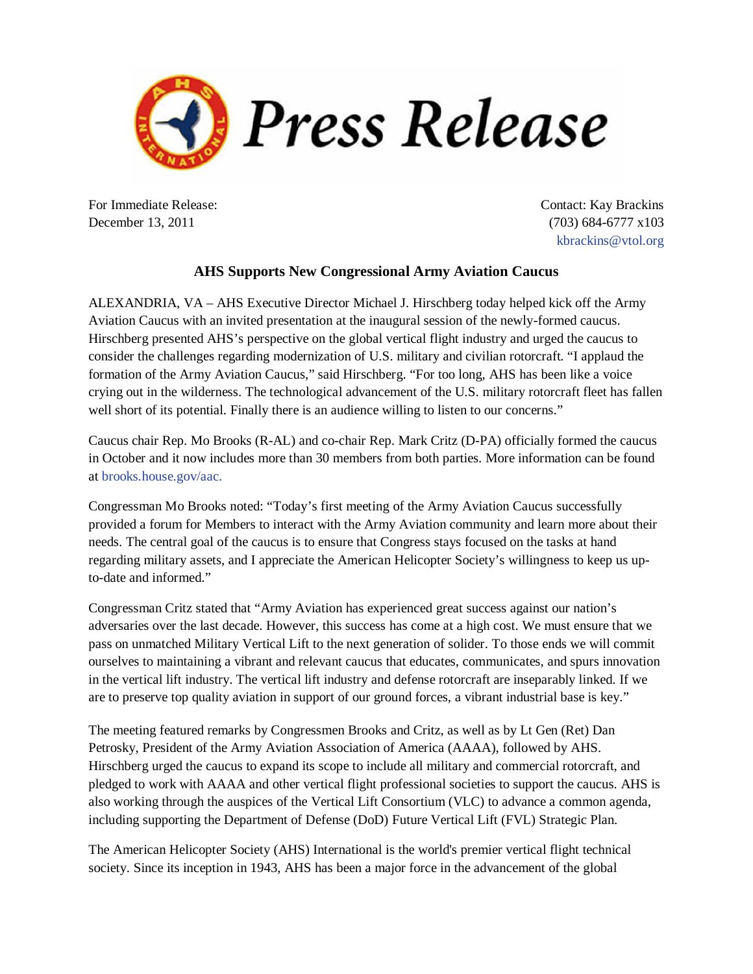

For Immediate Release: December 13, 2011

Contact: Kay Brackins (703) 684-6777 x103 [kbrackins@vtol.org](mailto:kbrackins@vtol.org)

## **AHS Supports New Congressional Army Aviation Caucus**

ALEXANDRIA, VA – AHS Executive Director Michael J. Hirschberg today helped kick off the Army Aviation Caucus with an invited presentation at the inaugural session of the newly-formed caucus. Hirschberg presented AHS's perspective on the global vertical flight industry and urged the caucus to consider the challenges regarding modernization of U.S. military and civilian rotorcraft. "I applaud the formation of the Army Aviation Caucus," said Hirschberg. "For too long, AHS has been like a voice crying out in the wilderness. The technological advancement of the U.S. military rotorcraft fleet has fallen well short of its potential. Finally there is an audience willing to listen to our concerns."

Caucus chair Rep. Mo Brooks (R-AL) and co-chair Rep. Mark Critz (D-PA) officially formed the caucus in October and it now includes more than 30 members from both parties. More information can be found at [brooks.house.gov/aac](http://brooks.house.gov/aac).

Congressman Mo Brooks noted: "Today's first meeting of the Army Aviation Caucus successfully provided a forum for Members to interact with the Army Aviation community and learn more about their needs. The central goal of the caucus is to ensure that Congress stays focused on the tasks at hand regarding military assets, and I appreciate the American Helicopter Society's willingness to keep us upto-date and informed."

Congressman Critz stated that "Army Aviation has experienced great success against our nation's adversaries over the last decade. However, this success has come at a high cost. We must ensure that we pass on unmatched Military Vertical Lift to the next generation of solider. To those ends we will commit ourselves to maintaining a vibrant and relevant caucus that educates, communicates, and spurs innovation in the vertical lift industry. The vertical lift industry and defense rotorcraft are inseparably linked. If we are to preserve top quality aviation in support of our ground forces, a vibrant industrial base is key."

The meeting featured remarks by Congressmen Brooks and Critz, as well as by Lt Gen (Ret) Dan Petrosky, President of the Army Aviation Association of America (AAAA), followed by AHS. Hirschberg urged the caucus to expand its scope to include all military and commercial rotorcraft, and pledged to work with AAAA and other vertical flight professional societies to support the caucus. AHS is also working through the auspices of the Vertical Lift Consortium (VLC) to advance a common agenda, including supporting the Department of Defense (DoD) Future Vertical Lift (FVL) Strategic Plan.

The American Helicopter Society (AHS) International is the world's premier vertical flight technical society. Since its inception in 1943, AHS has been a major force in the advancement of the global